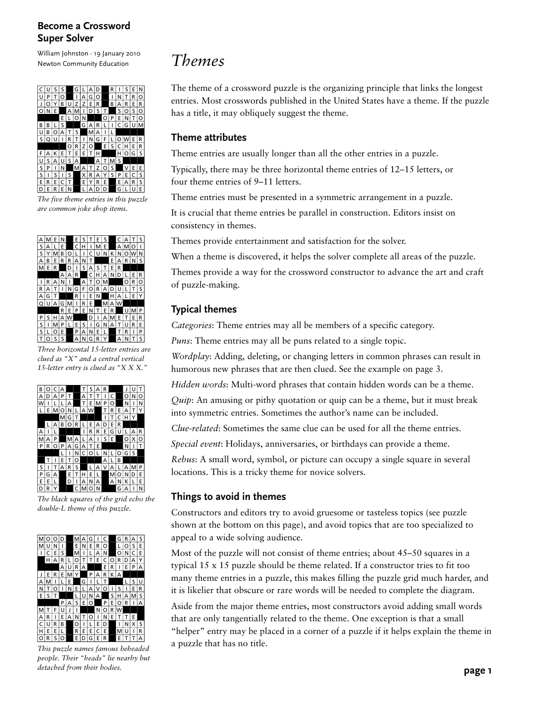William Johnston · 19 January 2010 Newton Community Education



*The five theme entries in this puzzle are common joke shop items.*



*Three horizontal 15-letter entries are clued as "X" and a central vertical 15-letter entry is clued as "X X X."*

|   |   | C | А |   |   |   |    |   | R |   |   |   |   |   |
|---|---|---|---|---|---|---|----|---|---|---|---|---|---|---|
| А | D | Д | P |   |   | А |    |   |   | Ċ |   | O | N | Ó |
| w |   |   | L | А |   | т | Е  | м | P | O |   | Ν | ı | N |
| L | Е | м | O | Ν |   | А | lw |   | Т | R | Е | А | т | Y |
|   |   |   | M | G | T |   |    |   | ı | т | C | н | Y |   |
|   |   | A | B | O | R |   | E  | А | D | E | R |   |   |   |
| A | ı | L |   |   |   | ı | R  | R | E | G | U |   | А | R |
| м | А | P |   | м | А | L | А  | ı | s | Е |   | O | х | O |
| P | R | O | P | А | G | А | Т  | E |   |   |   | N | ı | т |
|   |   |   | L |   | Ν | c | O  |   | Ν |   | O | G | s |   |
|   |   |   | E | T | O |   |    |   | А | L | в |   |   |   |
| S |   |   | А | R | S |   | L  | А | ٧ | А | L | д | м | P |
| P | G | А |   | E | T | н | Е  | L |   | м | O | N | D | E |
| E | E |   |   | D | ı | д | N  | А |   | А | Ν | K | L | E |
| D | R | Y |   |   | C | м | O  | N |   |   | G | A | ı | N |

*The black squares of the grid echo the double-L theme of this puzzle.*



*This puzzle names famous beheaded people. Their "heads" lie nearby but detached from their bodies.*

## *Themes*

The theme of a crossword puzzle is the organizing principle that links the longest entries. Most crosswords published in the United States have a theme. If the puzzle has a title, it may obliquely suggest the theme.

#### **Theme attributes**

Theme entries are usually longer than all the other entries in a puzzle.

Typically, there may be three horizontal theme entries of 12–15 letters, or four theme entries of 9–11 letters.

Theme entries must be presented in a symmetric arrangement in a puzzle.

It is crucial that theme entries be parallel in construction. Editors insist on consistency in themes.

Themes provide entertainment and satisfaction for the solver.

When a theme is discovered, it helps the solver complete all areas of the puzzle.

Themes provide a way for the crossword constructor to advance the art and craft of puzzle-making.

### **Typical themes**

*Categories*: Theme entries may all be members of a specific category.

*Puns*: Theme entries may all be puns related to a single topic.

*Wordplay*: Adding, deleting, or changing letters in common phrases can result in humorous new phrases that are then clued. See the example on page 3.

*Hidden words*: Multi-word phrases that contain hidden words can be a theme.

*Quip*: An amusing or pithy quotation or quip can be a theme, but it must break into symmetric entries. Sometimes the author's name can be included.

*Clue-related*: Sometimes the same clue can be used for all the theme entries.

*Special event*: Holidays, anniversaries, or birthdays can provide a theme.

*Rebus*: A small word, symbol, or picture can occupy a single square in several locations. This is a tricky theme for novice solvers.

### **Things to avoid in themes**

Constructors and editors try to avoid gruesome or tasteless topics (see puzzle shown at the bottom on this page), and avoid topics that are too specialized to appeal to a wide solving audience.

Most of the puzzle will not consist of theme entries; about 45–50 squares in a typical 15 x 15 puzzle should be theme related. If a constructor tries to fit too many theme entries in a puzzle, this makes filling the puzzle grid much harder, and it is likelier that obscure or rare words will be needed to complete the diagram.

Aside from the major theme entries, most constructors avoid adding small words that are only tangentially related to the theme. One exception is that a small "helper" entry may be placed in a corner of a puzzle if it helps explain the theme in a puzzle that has no title.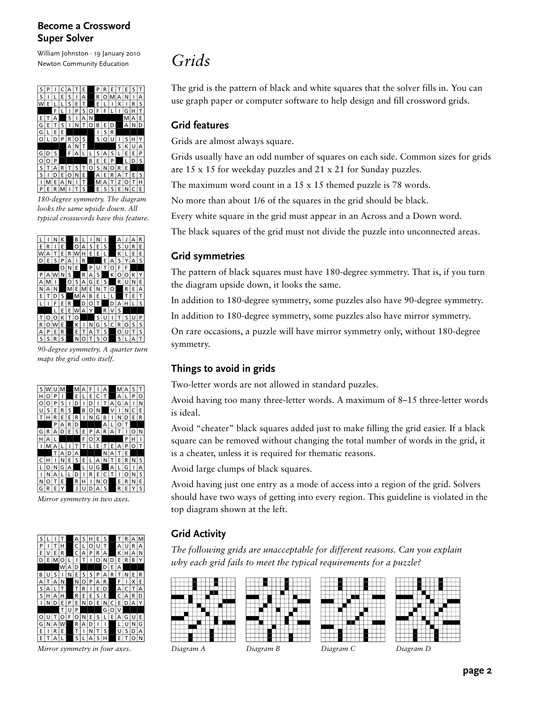William Johnston · 19 January 2010 Newton Community Education



*180-degree symmetry. The diagram looks the same upside down. All typical crosswords have this feature.*



*90-degree symmetry. A quarter turn maps the grid onto itself.*

|   |   |   |   |   |   |   |   |   | д |   | м | д |   |   |
|---|---|---|---|---|---|---|---|---|---|---|---|---|---|---|
| н | റ | P |   |   | E |   | E | C | T |   | A |   | P | O |
| ∩ | O | P | S |   | D |   | D |   |   | А | G | А | ı | Ν |
| U | Ś | E | R | S |   | в | O | Ν |   | V | ı | N | C | E |
| т | н | R | E | E | R |   | N | G | в |   | N | D | Е | R |
|   |   | P | А | R | D |   |   |   | А | L | O | т |   |   |
| G | R | А | D | E | S | E | P | А | R | A | т | ı | ∩ | Ν |
| н | А | L |   |   |   | F | O | X |   |   |   | P | н | ۱ |
| ı | м | А |   |   |   | т | L | Е |   | E | А | P | റ |   |
|   |   | T | А | n | А |   |   |   | Ν | д | т | E |   |   |
| C | н |   | N | E | S | E |   | А | N |   | E | R | N | S |
|   | റ | N | G | А |   |   | Ü | G |   | А | L | G | ı | А |
| ۱ | N | А | L | L | D |   | R | E | Ċ | т | ۱ | ∩ | N | S |
| Ν | റ |   | E |   | R | н | ı | N | O |   | E | R | N | E |
| G | R | E | Y |   | J | u | D | А | s |   | R | E | Y | S |

*Mirror symmetry in two axes.*



*Mirror symmetry in four axes. Diagram A Diagram B Diagram C Diagram D*

# *Grids*

The grid is the pattern of black and white squares that the solver fills in. You can use graph paper or computer software to help design and fill crossword grids.

#### **Grid features**

Grids are almost always square.

Grids usually have an odd number of squares on each side. Common sizes for grids are 15 x 15 for weekday puzzles and 21 x 21 for Sunday puzzles.

The maximum word count in a 15 x 15 themed puzzle is 78 words.

No more than about 1/6 of the squares in the grid should be black.

Every white square in the grid must appear in an Across and a Down word.

The black squares of the grid must not divide the puzzle into unconnected areas.

#### **Grid symmetries**

The pattern of black squares must have 180-degree symmetry. That is, if you turn the diagram upside down, it looks the same.

In addition to 180-degree symmetry, some puzzles also have 90-degree symmetry.

In addition to 180-degree symmetry, some puzzles also have mirror symmetry.

On rare occasions, a puzzle will have mirror symmetry only, without 180-degree symmetry.

### **Things to avoid in grids**

Two-letter words are not allowed in standard puzzles.

Avoid having too many three-letter words. A maximum of 8–15 three-letter words is ideal.

Avoid "cheater" black squares added just to make filling the grid easier. If a black square can be removed without changing the total number of words in the grid, it is a cheater, unless it is required for thematic reasons.

Avoid large clumps of black squares.

l l l l l L

Avoid having just one entry as a mode of access into a region of the grid. Solvers should have two ways of getting into every region. This guideline is violated in the top diagram shown at the left.

## **Grid Activity**

*The following grids are unacceptable for different reasons. Can you explain why each grid fails to meet the typical requirements for a puzzle?*





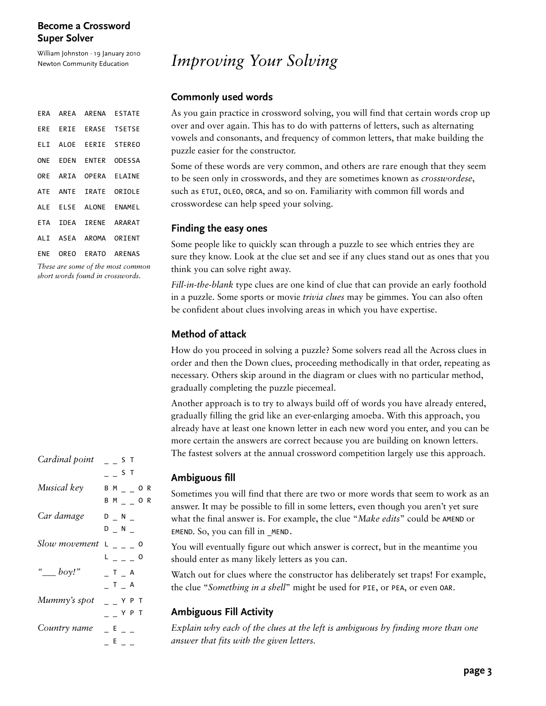William Johnston · 19 January 2010 Newton Community Education

| ERA        |          |                                                                                                                           | AREA ARENA ESTATE     |
|------------|----------|---------------------------------------------------------------------------------------------------------------------------|-----------------------|
|            |          |                                                                                                                           | ERE ERIE ERASE TSETSE |
|            |          |                                                                                                                           | ELI ALOE EERIE STEREO |
| <b>ONE</b> |          |                                                                                                                           | EDEN ENTER ODESSA     |
|            | ORE ARIA |                                                                                                                           | OPERA ELAINE          |
| <b>ATE</b> |          |                                                                                                                           | ANTE IRATE ORIOLE     |
| <b>ALE</b> |          |                                                                                                                           | ELSE ALONE ENAMEL     |
| <b>ETA</b> | IDEA     |                                                                                                                           | IRENE ARARAT          |
|            |          |                                                                                                                           | ALI ASEA AROMA ORIENT |
| ENE        |          |                                                                                                                           | OREO ERATO ARENAS     |
| T1         |          | $\mathcal{L}$ and $\mathcal{L}$ and $\mathcal{L}$ and $\mathcal{L}$ and $\mathcal{L}$ and $\mathcal{L}$ and $\mathcal{L}$ |                       |

*These are some of the most common short words found in crosswords.*

| Cardinal point | S T                     |  |
|----------------|-------------------------|--|
|                | $  S$ T                 |  |
| Musical key    | $B$ M $_{-}$ $_{-}$ O R |  |
|                | $BM_$ _ _ O R           |  |
| Car damage     | $D = N$                 |  |
|                | $D$ N                   |  |
| Slow movement  | $L_{- - -} 0$           |  |
|                | L _ _ _ 0               |  |
| " $\_\_boy!$ " | $T_A$                   |  |
|                | _ T _ A                 |  |
| Mummy's spot   | $=$ $-$ Y P T           |  |
|                | Y P T                   |  |
| Country name   | $E =$                   |  |
|                | $E_{-}$                 |  |

# *Improving Your Solving*

#### **Commonly used words**

As you gain practice in crossword solving, you will find that certain words crop up over and over again. This has to do with patterns of letters, such as alternating vowels and consonants, and frequency of common letters, that make building the puzzle easier for the constructor.

Some of these words are very common, and others are rare enough that they seem to be seen only in crosswords, and they are sometimes known as *crosswordese*, such as ETUI, OLEO, ORCA, and so on. Familiarity with common fill words and crosswordese can help speed your solving.

#### **Finding the easy ones**

Some people like to quickly scan through a puzzle to see which entries they are sure they know. Look at the clue set and see if any clues stand out as ones that you think you can solve right away.

*Fill-in-the-blank* type clues are one kind of clue that can provide an early foothold in a puzzle. Some sports or movie *trivia clues* may be gimmes. You can also often be confident about clues involving areas in which you have expertise.

#### **Method of attack**

How do you proceed in solving a puzzle? Some solvers read all the Across clues in order and then the Down clues, proceeding methodically in that order, repeating as necessary. Others skip around in the diagram or clues with no particular method, gradually completing the puzzle piecemeal.

Another approach is to try to always build off of words you have already entered, gradually filling the grid like an ever-enlarging amoeba. With this approach, you already have at least one known letter in each new word you enter, and you can be more certain the answers are correct because you are building on known letters. The fastest solvers at the annual crossword competition largely use this approach.

### **Ambiguous fill**

Sometimes you will find that there are two or more words that seem to work as an answer. It may be possible to fill in some letters, even though you aren't yet sure what the final answer is. For example, the clue "*Make edits*" could be AMEND or EMEND. So, you can fill in \_MEND.

You will eventually figure out which answer is correct, but in the meantime you should enter as many likely letters as you can.

Watch out for clues where the constructor has deliberately set traps! For example, the clue "*Something in a shell*" might be used for PIE, or PEA, or even OAR.

#### **Ambiguous Fill Activity**

*Explain why each of the clues at the left is ambiguous by finding more than one answer that fits with the given letters.*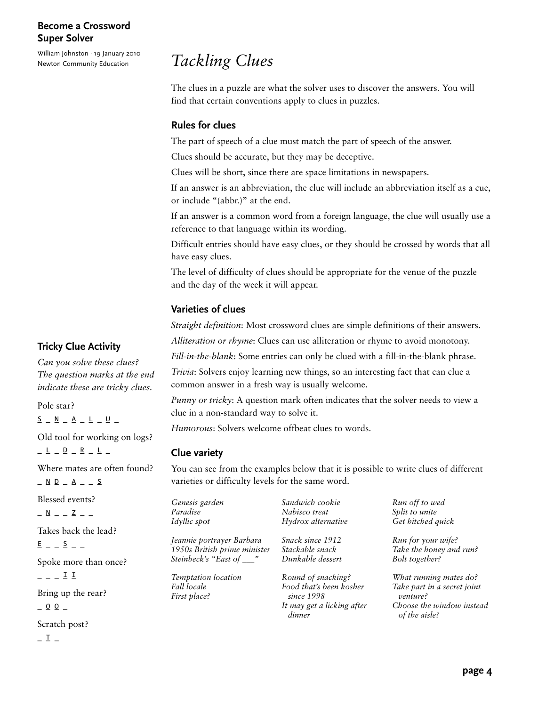William Johnston · 19 January 2010 Newton Community Education

## *Tackling Clues*

The clues in a puzzle are what the solver uses to discover the answers. You will find that certain conventions apply to clues in puzzles.

#### **Rules for clues**

The part of speech of a clue must match the part of speech of the answer.

Clues should be accurate, but they may be deceptive.

Clues will be short, since there are space limitations in newspapers.

If an answer is an abbreviation, the clue will include an abbreviation itself as a cue, or include "(abbr.)" at the end.

If an answer is a common word from a foreign language, the clue will usually use a reference to that language within its wording.

Difficult entries should have easy clues, or they should be crossed by words that all have easy clues.

The level of difficulty of clues should be appropriate for the venue of the puzzle and the day of the week it will appear.

#### **Varieties of clues**

*Straight definition*: Most crossword clues are simple definitions of their answers.

*Alliteration or rhyme*: Clues can use alliteration or rhyme to avoid monotony.

*Fill-in-the-blank*: Some entries can only be clued with a fill-in-the-blank phrase.

*Trivia*: Solvers enjoy learning new things, so an interesting fact that can clue a common answer in a fresh way is usually welcome.

*Punny or tricky*: A question mark often indicates that the solver needs to view a clue in a non-standard way to solve it.

*Humorous*: Solvers welcome offbeat clues to words.

#### **Clue variety**

You can see from the examples below that it is possible to write clues of different varieties or difficulty levels for the same word.

| Genesis garden               | Sandwich cookie                      | Run off to wed                             |
|------------------------------|--------------------------------------|--------------------------------------------|
| Paradise                     | Nabisco treat                        | Split to unite                             |
| Idyllic spot                 | Hydrox alternative                   | Get hitched quick                          |
| Jeannie portrayer Barbara    | Snack since 1912                     | Run for your wife?                         |
| 1950s British prime minister | Stackable snack                      | Take the honey and run?                    |
| Steinbeck's "East of ___"    | Dunkable dessert                     | Bolt together?                             |
| Temptation location          | Round of snacking?                   | What running mates do?                     |
| Fall locale                  | Food that's been kosher              | Take part in a secret joint                |
| First place?                 | since 1998                           | venture?                                   |
|                              | It may get a licking after<br>dinner | Choose the window instead<br>of the aisle? |

#### **Tricky Clue Activity**

*Can you solve these clues? The question marks at the end indicate these are tricky clues.*

Pole star?  $\frac{\mathsf{S}}{\mathsf{S}} = \mathsf{N} = \mathsf{A} = \mathsf{L} = \mathsf{U} =$ Old tool for working on logs?  $\begin{array}{r} \mathsf{L} \ \mathsf{L} \ \mathsf{L} \ \mathsf{D} \ \mathsf{L} \ \mathsf{R} \ \mathsf{L} \ \mathsf{L} \ \mathsf{L} \end{array}$ Where mates are often found?  $\underline{\wedge} \underline{\wedge} \underline{\wedge} = \underline{\wedge} \underline{\wedge} = \underline{\wedge}$ Blessed events?  $\mathbb{N}$   $\mathbb{N}$   $\mathbb{Z}$   $\mathbb{Z}$   $\mathbb{Z}$   $\mathbb{Z}$   $\mathbb{N}$ Takes back the lead?  $E$   $S$   $-$ Spoke more than once?  $- - 11$ Bring up the rear?

 $-00$  –

Scratch post?

 $I -$